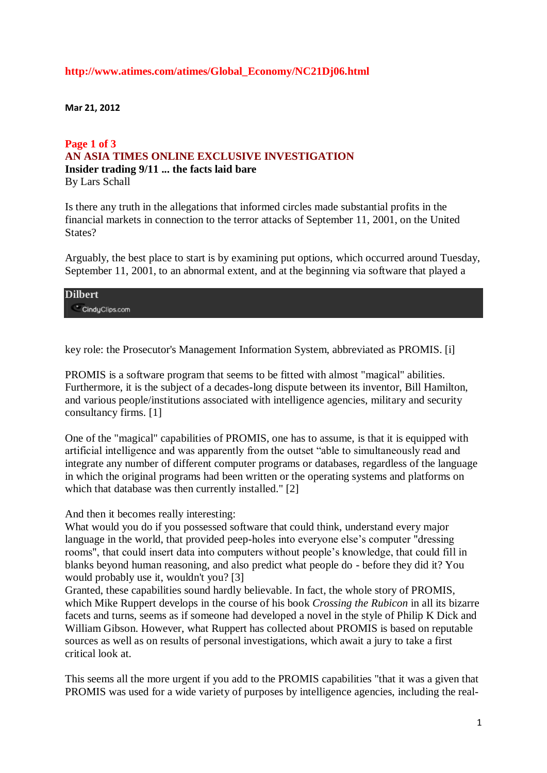## **http://www.atimes.com/atimes/Global\_Economy/NC21Dj06.html**

**Mar 21, 2012**

## **Page 1 of 3 AN ASIA TIMES ONLINE EXCLUSIVE INVESTIGATION Insider trading 9/11 ... the facts laid bare** By Lars Schall

Is there any truth in the allegations that informed circles made substantial profits in the financial markets in connection to the terror attacks of September 11, 2001, on the United States?

Arguably, the best place to start is by examining put options, which occurred around Tuesday, September 11, 2001, to an abnormal extent, and at the beginning via software that played a

| <b>Dilbert</b> |  |  |
|----------------|--|--|
| CindyClips.com |  |  |

key role: the Prosecutor's Management Information System, abbreviated as PROMIS. [i]

PROMIS is a software program that seems to be fitted with almost "magical" abilities. Furthermore, it is the subject of a decades-long dispute between its inventor, Bill Hamilton, and various people/institutions associated with intelligence agencies, military and security consultancy firms. [1]

One of the "magical" capabilities of PROMIS, one has to assume, is that it is equipped with artificial intelligence and was apparently from the outset "able to simultaneously read and integrate any number of different computer programs or databases, regardless of the language in which the original programs had been written or the operating systems and platforms on which that database was then currently installed." [2]

And then it becomes really interesting:

What would you do if you possessed software that could think, understand every major language in the world, that provided peep-holes into everyone else's computer "dressing rooms", that could insert data into computers without people's knowledge, that could fill in blanks beyond human reasoning, and also predict what people do - before they did it? You would probably use it, wouldn't you? [3]

Granted, these capabilities sound hardly believable. In fact, the whole story of PROMIS, which Mike Ruppert develops in the course of his book *Crossing the Rubicon* in all its bizarre facets and turns, seems as if someone had developed a novel in the style of Philip K Dick and William Gibson. However, what Ruppert has collected about PROMIS is based on reputable sources as well as on results of personal investigations, which await a jury to take a first critical look at.

This seems all the more urgent if you add to the PROMIS capabilities "that it was a given that PROMIS was used for a wide variety of purposes by intelligence agencies, including the real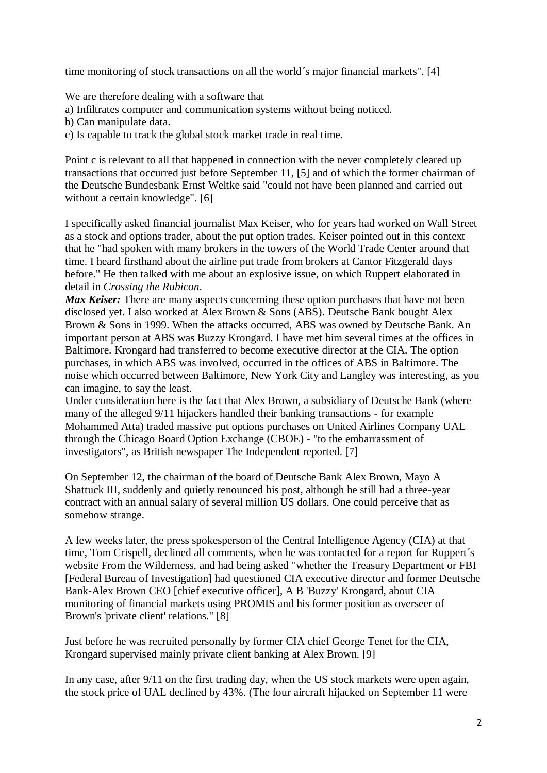time monitoring of stock transactions on all the world´s major financial markets". [4]

We are therefore dealing with a software that

- a) Infiltrates computer and communication systems without being noticed.
- b) Can manipulate data.
- c) Is capable to track the global stock market trade in real time.

Point c is relevant to all that happened in connection with the never completely cleared up transactions that occurred just before September 11, [5] and of which the former chairman of the Deutsche Bundesbank Ernst Weltke said "could not have been planned and carried out without a certain knowledge". [6]

I specifically asked financial journalist Max Keiser, who for years had worked on Wall Street as a stock and options trader, about the put option trades. Keiser pointed out in this context that he "had spoken with many brokers in the towers of the World Trade Center around that time. I heard firsthand about the airline put trade from brokers at Cantor Fitzgerald days before." He then talked with me about an explosive issue, on which Ruppert elaborated in detail in *Crossing the Rubicon*.

*Max Keiser*: There are many aspects concerning these option purchases that have not been disclosed yet. I also worked at Alex Brown & Sons (ABS). Deutsche Bank bought Alex Brown & Sons in 1999. When the attacks occurred, ABS was owned by Deutsche Bank. An important person at ABS was Buzzy Krongard. I have met him several times at the offices in Baltimore. Krongard had transferred to become executive director at the CIA. The option purchases, in which ABS was involved, occurred in the offices of ABS in Baltimore. The noise which occurred between Baltimore, New York City and Langley was interesting, as you can imagine, to say the least.

Under consideration here is the fact that Alex Brown, a subsidiary of Deutsche Bank (where many of the alleged 9/11 hijackers handled their banking transactions - for example Mohammed Atta) traded massive put options purchases on United Airlines Company UAL through the Chicago Board Option Exchange (CBOE) - "to the embarrassment of investigators", as British newspaper The Independent reported. [7]

On September 12, the chairman of the board of Deutsche Bank Alex Brown, Mayo A Shattuck III, suddenly and quietly renounced his post, although he still had a three-year contract with an annual salary of several million US dollars. One could perceive that as somehow strange.

A few weeks later, the press spokesperson of the Central Intelligence Agency (CIA) at that time, Tom Crispell, declined all comments, when he was contacted for a report for Ruppert´s website From the Wilderness, and had being asked "whether the Treasury Department or FBI [Federal Bureau of Investigation] had questioned CIA executive director and former Deutsche Bank-Alex Brown CEO [chief executive officer], A B 'Buzzy' Krongard, about CIA monitoring of financial markets using PROMIS and his former position as overseer of Brown's 'private client' relations." [8]

Just before he was recruited personally by former CIA chief George Tenet for the CIA, Krongard supervised mainly private client banking at Alex Brown. [9]

In any case, after 9/11 on the first trading day, when the US stock markets were open again, the stock price of UAL declined by 43%. (The four aircraft hijacked on September 11 were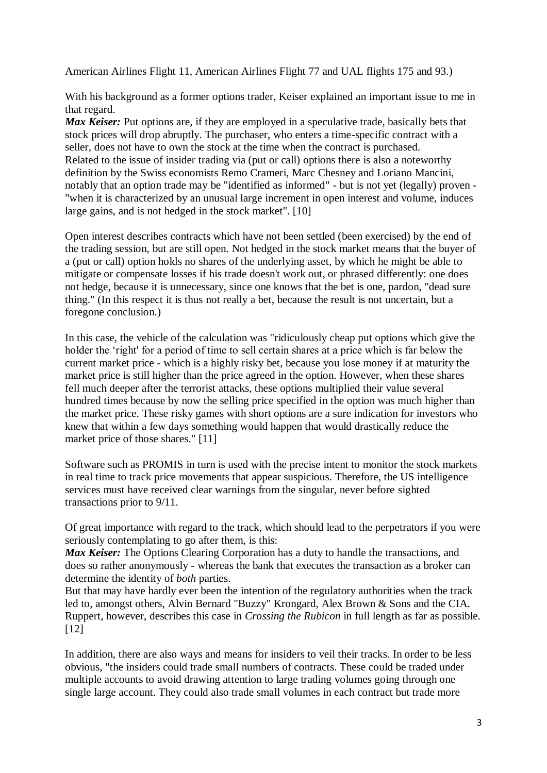American Airlines Flight 11, American Airlines Flight 77 and UAL flights 175 and 93.)

With his background as a former options trader, Keiser explained an important issue to me in that regard.

*Max Keiser:* Put options are, if they are employed in a speculative trade, basically bets that stock prices will drop abruptly. The purchaser, who enters a time-specific contract with a seller, does not have to own the stock at the time when the contract is purchased. Related to the issue of insider trading via (put or call) options there is also a noteworthy definition by the Swiss economists Remo Crameri, Marc Chesney and Loriano Mancini, notably that an option trade may be "identified as informed" - but is not yet (legally) proven - "when it is characterized by an unusual large increment in open interest and volume, induces large gains, and is not hedged in the stock market". [10]

Open interest describes contracts which have not been settled (been exercised) by the end of the trading session, but are still open. Not hedged in the stock market means that the buyer of a (put or call) option holds no shares of the underlying asset, by which he might be able to mitigate or compensate losses if his trade doesn't work out, or phrased differently: one does not hedge, because it is unnecessary, since one knows that the bet is one, pardon, "dead sure thing." (In this respect it is thus not really a bet, because the result is not uncertain, but a foregone conclusion.)

In this case, the vehicle of the calculation was "ridiculously cheap put options which give the holder the 'right' for a period of time to sell certain shares at a price which is far below the current market price - which is a highly risky bet, because you lose money if at maturity the market price is still higher than the price agreed in the option. However, when these shares fell much deeper after the terrorist attacks, these options multiplied their value several hundred times because by now the selling price specified in the option was much higher than the market price. These risky games with short options are a sure indication for investors who knew that within a few days something would happen that would drastically reduce the market price of those shares." [11]

Software such as PROMIS in turn is used with the precise intent to monitor the stock markets in real time to track price movements that appear suspicious. Therefore, the US intelligence services must have received clear warnings from the singular, never before sighted transactions prior to 9/11.

Of great importance with regard to the track, which should lead to the perpetrators if you were seriously contemplating to go after them, is this:

*Max Keiser:* The Options Clearing Corporation has a duty to handle the transactions, and does so rather anonymously - whereas the bank that executes the transaction as a broker can determine the identity of *both* parties.

But that may have hardly ever been the intention of the regulatory authorities when the track led to, amongst others, Alvin Bernard "Buzzy" Krongard, Alex Brown & Sons and the CIA. Ruppert, however, describes this case in *Crossing the Rubicon* in full length as far as possible. [12]

In addition, there are also ways and means for insiders to veil their tracks. In order to be less obvious, "the insiders could trade small numbers of contracts. These could be traded under multiple accounts to avoid drawing attention to large trading volumes going through one single large account. They could also trade small volumes in each contract but trade more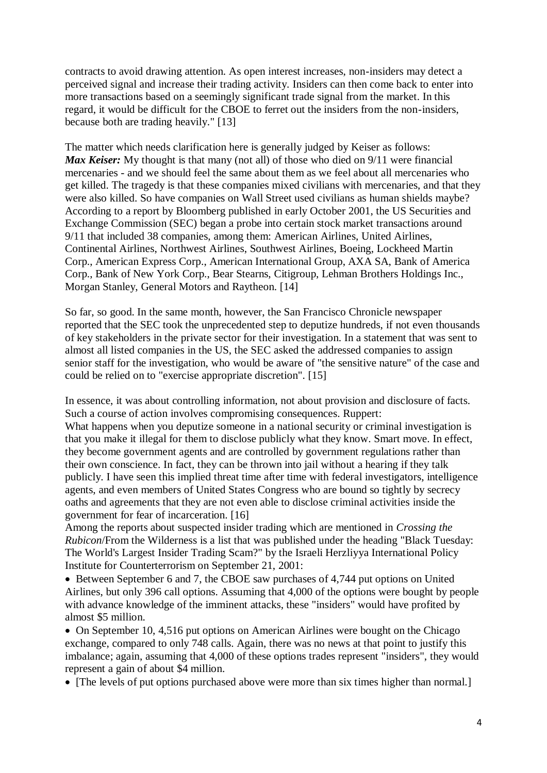contracts to avoid drawing attention. As open interest increases, non-insiders may detect a perceived signal and increase their trading activity. Insiders can then come back to enter into more transactions based on a seemingly significant trade signal from the market. In this regard, it would be difficult for the CBOE to ferret out the insiders from the non-insiders, because both are trading heavily." [13]

The matter which needs clarification here is generally judged by Keiser as follows: *Max Keiser:* My thought is that many (not all) of those who died on 9/11 were financial mercenaries - and we should feel the same about them as we feel about all mercenaries who get killed. The tragedy is that these companies mixed civilians with mercenaries, and that they were also killed. So have companies on Wall Street used civilians as human shields maybe? According to a report by Bloomberg published in early October 2001, the US Securities and Exchange Commission (SEC) began a probe into certain stock market transactions around 9/11 that included 38 companies, among them: American Airlines, United Airlines, Continental Airlines, Northwest Airlines, Southwest Airlines, Boeing, Lockheed Martin Corp., American Express Corp., American International Group, AXA SA, Bank of America Corp., Bank of New York Corp., Bear Stearns, Citigroup, Lehman Brothers Holdings Inc., Morgan Stanley, General Motors and Raytheon. [14]

So far, so good. In the same month, however, the San Francisco Chronicle newspaper reported that the SEC took the unprecedented step to deputize hundreds, if not even thousands of key stakeholders in the private sector for their investigation. In a statement that was sent to almost all listed companies in the US, the SEC asked the addressed companies to assign senior staff for the investigation, who would be aware of "the sensitive nature" of the case and could be relied on to "exercise appropriate discretion". [15]

In essence, it was about controlling information, not about provision and disclosure of facts. Such a course of action involves compromising consequences. Ruppert:

What happens when you deputize someone in a national security or criminal investigation is that you make it illegal for them to disclose publicly what they know. Smart move. In effect, they become government agents and are controlled by government regulations rather than their own conscience. In fact, they can be thrown into jail without a hearing if they talk publicly. I have seen this implied threat time after time with federal investigators, intelligence agents, and even members of United States Congress who are bound so tightly by secrecy oaths and agreements that they are not even able to disclose criminal activities inside the government for fear of incarceration. [16]

Among the reports about suspected insider trading which are mentioned in *Crossing the Rubicon*/From the Wilderness is a list that was published under the heading "Black Tuesday: The World's Largest Insider Trading Scam?" by the Israeli Herzliyya International Policy Institute for Counterterrorism on September 21, 2001:

 Between September 6 and 7, the CBOE saw purchases of 4,744 put options on United Airlines, but only 396 call options. Assuming that 4,000 of the options were bought by people with advance knowledge of the imminent attacks, these "insiders" would have profited by almost \$5 million.

 On September 10, 4,516 put options on American Airlines were bought on the Chicago exchange, compared to only 748 calls. Again, there was no news at that point to justify this imbalance; again, assuming that 4,000 of these options trades represent "insiders", they would represent a gain of about \$4 million.

• [The levels of put options purchased above were more than six times higher than normal.]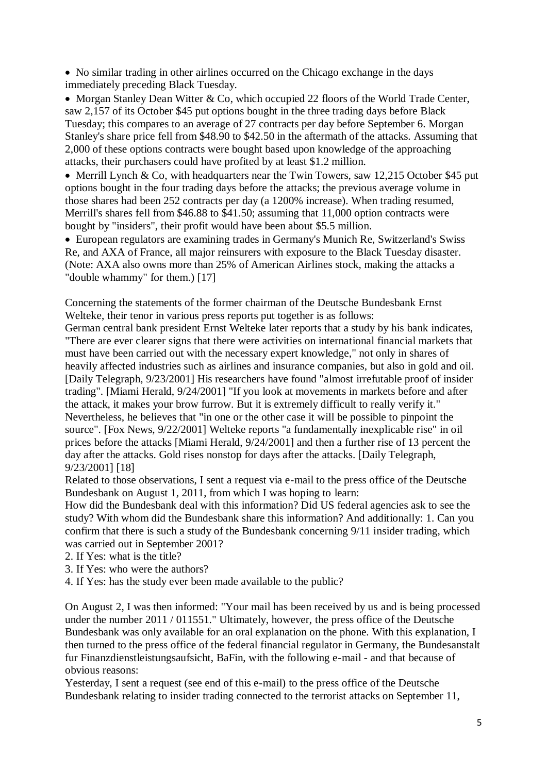No similar trading in other airlines occurred on the Chicago exchange in the days immediately preceding Black Tuesday.

• Morgan Stanley Dean Witter & Co, which occupied 22 floors of the World Trade Center, saw 2,157 of its October \$45 put options bought in the three trading days before Black Tuesday; this compares to an average of 27 contracts per day before September 6. Morgan Stanley's share price fell from \$48.90 to \$42.50 in the aftermath of the attacks. Assuming that 2,000 of these options contracts were bought based upon knowledge of the approaching attacks, their purchasers could have profited by at least \$1.2 million.

• Merrill Lynch & Co, with headquarters near the Twin Towers, saw 12,215 October \$45 put options bought in the four trading days before the attacks; the previous average volume in those shares had been 252 contracts per day (a 1200% increase). When trading resumed, Merrill's shares fell from \$46.88 to \$41.50; assuming that 11,000 option contracts were bought by "insiders", their profit would have been about \$5.5 million.

 European regulators are examining trades in Germany's Munich Re, Switzerland's Swiss Re, and AXA of France, all major reinsurers with exposure to the Black Tuesday disaster. (Note: AXA also owns more than 25% of American Airlines stock, making the attacks a "double whammy" for them.) [17]

Concerning the statements of the former chairman of the Deutsche Bundesbank Ernst Welteke, their tenor in various press reports put together is as follows:

German central bank president Ernst Welteke later reports that a study by his bank indicates, "There are ever clearer signs that there were activities on international financial markets that must have been carried out with the necessary expert knowledge," not only in shares of heavily affected industries such as airlines and insurance companies, but also in gold and oil. [Daily Telegraph, 9/23/2001] His researchers have found "almost irrefutable proof of insider trading". [Miami Herald, 9/24/2001] "If you look at movements in markets before and after the attack, it makes your brow furrow. But it is extremely difficult to really verify it." Nevertheless, he believes that "in one or the other case it will be possible to pinpoint the source". [Fox News, 9/22/2001] Welteke reports "a fundamentally inexplicable rise" in oil prices before the attacks [Miami Herald, 9/24/2001] and then a further rise of 13 percent the day after the attacks. Gold rises nonstop for days after the attacks. [Daily Telegraph, 9/23/2001] [18]

Related to those observations, I sent a request via e-mail to the press office of the Deutsche Bundesbank on August 1, 2011, from which I was hoping to learn:

How did the Bundesbank deal with this information? Did US federal agencies ask to see the study? With whom did the Bundesbank share this information? And additionally: 1. Can you confirm that there is such a study of the Bundesbank concerning 9/11 insider trading, which was carried out in September 2001?

2. If Yes: what is the title?

- 3. If Yes: who were the authors?
- 4. If Yes: has the study ever been made available to the public?

On August 2, I was then informed: "Your mail has been received by us and is being processed under the number 2011 / 011551." Ultimately, however, the press office of the Deutsche Bundesbank was only available for an oral explanation on the phone. With this explanation, I then turned to the press office of the federal financial regulator in Germany, the Bundesanstalt fur Finanzdienstleistungsaufsicht, BaFin, with the following e-mail - and that because of obvious reasons:

Yesterday, I sent a request (see end of this e-mail) to the press office of the Deutsche Bundesbank relating to insider trading connected to the terrorist attacks on September 11,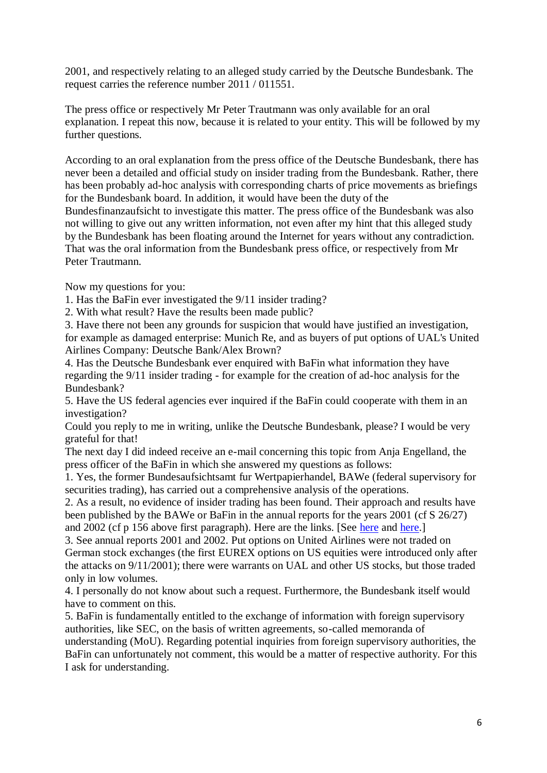2001, and respectively relating to an alleged study carried by the Deutsche Bundesbank. The request carries the reference number 2011 / 011551.

The press office or respectively Mr Peter Trautmann was only available for an oral explanation. I repeat this now, because it is related to your entity. This will be followed by my further questions.

According to an oral explanation from the press office of the Deutsche Bundesbank, there has never been a detailed and official study on insider trading from the Bundesbank. Rather, there has been probably ad-hoc analysis with corresponding charts of price movements as briefings for the Bundesbank board. In addition, it would have been the duty of the

Bundesfinanzaufsicht to investigate this matter. The press office of the Bundesbank was also not willing to give out any written information, not even after my hint that this alleged study by the Bundesbank has been floating around the Internet for years without any contradiction. That was the oral information from the Bundesbank press office, or respectively from Mr Peter Trautmann.

Now my questions for you:

1. Has the BaFin ever investigated the 9/11 insider trading?

2. With what result? Have the results been made public?

3. Have there not been any grounds for suspicion that would have justified an investigation, for example as damaged enterprise: Munich Re, and as buyers of put options of UAL's United Airlines Company: Deutsche Bank/Alex Brown?

4. Has the Deutsche Bundesbank ever enquired with BaFin what information they have regarding the 9/11 insider trading - for example for the creation of ad-hoc analysis for the Bundesbank?

5. Have the US federal agencies ever inquired if the BaFin could cooperate with them in an investigation?

Could you reply to me in writing, unlike the Deutsche Bundesbank, please? I would be very grateful for that!

The next day I did indeed receive an e-mail concerning this topic from Anja Engelland, the press officer of the BaFin in which she answered my questions as follows:

1. Yes, the former Bundesaufsichtsamt fur Wertpapierhandel, BAWe (federal supervisory for securities trading), has carried out a comprehensive analysis of the operations.

2. As a result, no evidence of insider trading has been found. Their approach and results have been published by the BAWe or BaFin in the annual reports for the years 2001 (cf S 26/27) and 2002 (cf p 156 above first paragraph). Here are the links. [See [here](http://www.bafin.de/cln_179/nn_992916/SharedDocs/Downloads/DE/Service/Jahresberichte/2001/Jahresbericht2001,templateId=raw,property=publicationFile.pdf/Jahresbericht2001.pdf) and [here.](http://www.bafin.de/cln_179/nn_992916/SharedDocs/Downloads/DE/Service/Jahresberichte/2002/jb2002__TeilA,templateId=raw,property=publicationFile.pdf/jb_2002_TeilA.pdf)]

3. See annual reports 2001 and 2002. Put options on United Airlines were not traded on German stock exchanges (the first EUREX options on US equities were introduced only after the attacks on 9/11/2001); there were warrants on UAL and other US stocks, but those traded only in low volumes.

4. I personally do not know about such a request. Furthermore, the Bundesbank itself would have to comment on this.

5. BaFin is fundamentally entitled to the exchange of information with foreign supervisory authorities, like SEC, on the basis of written agreements, so-called memoranda of understanding (MoU). Regarding potential inquiries from foreign supervisory authorities, the BaFin can unfortunately not comment, this would be a matter of respective authority. For this I ask for understanding.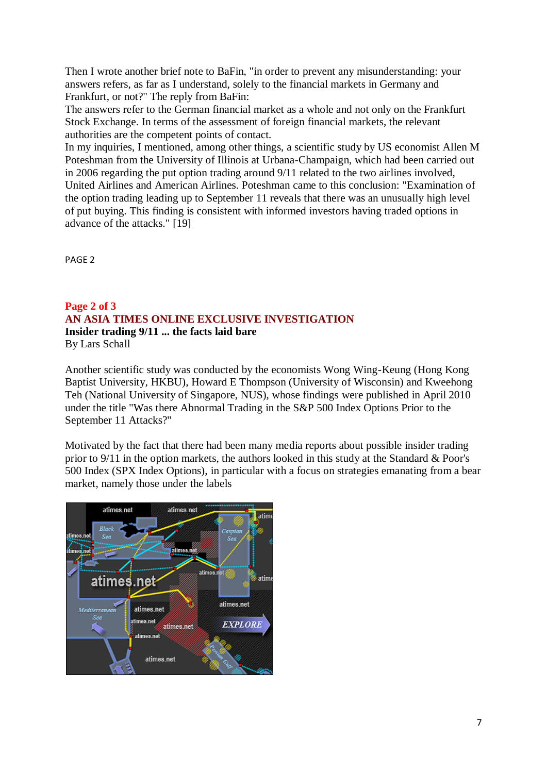Then I wrote another brief note to BaFin, "in order to prevent any misunderstanding: your answers refers, as far as I understand, solely to the financial markets in Germany and Frankfurt, or not?" The reply from BaFin:

The answers refer to the German financial market as a whole and not only on the Frankfurt Stock Exchange. In terms of the assessment of foreign financial markets, the relevant authorities are the competent points of contact.

In my inquiries, I mentioned, among other things, a scientific study by US economist Allen M Poteshman from the University of Illinois at Urbana-Champaign, which had been carried out in 2006 regarding the put option trading around 9/11 related to the two airlines involved, United Airlines and American Airlines. Poteshman came to this conclusion: "Examination of the option trading leading up to September 11 reveals that there was an unusually high level of put buying. This finding is consistent with informed investors having traded options in advance of the attacks." [19]

PAGE 2

#### **Page 2 of 3 AN ASIA TIMES ONLINE EXCLUSIVE INVESTIGATION Insider trading 9/11 ... the facts laid bare** By Lars Schall

Another scientific study was conducted by the economists Wong Wing-Keung (Hong Kong Baptist University, HKBU), Howard E Thompson (University of Wisconsin) and Kweehong Teh (National University of Singapore, NUS), whose findings were published in April 2010 under the title "Was there Abnormal Trading in the S&P 500 Index Options Prior to the September 11 Attacks?"

Motivated by the fact that there had been many media reports about possible insider trading prior to 9/11 in the option markets, the authors looked in this study at the Standard & Poor's 500 Index (SPX Index Options), in particular with a focus on strategies emanating from a bear market, namely those under the labels

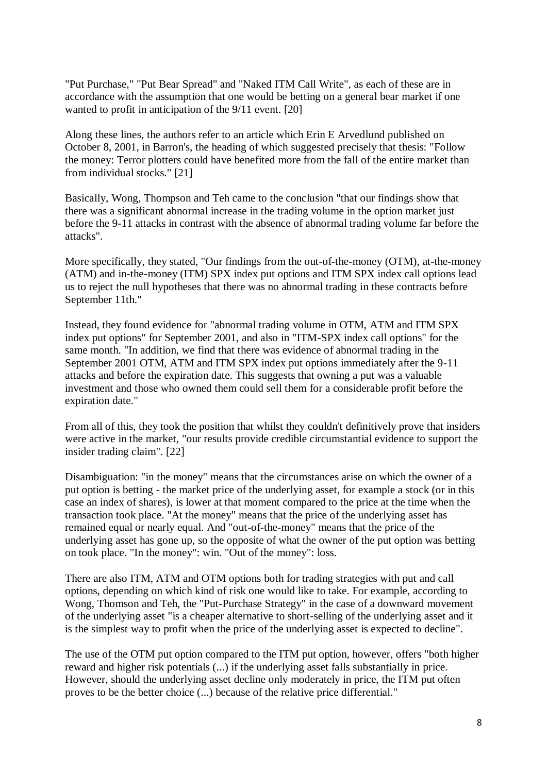"Put Purchase," "Put Bear Spread" and "Naked ITM Call Write", as each of these are in accordance with the assumption that one would be betting on a general bear market if one wanted to profit in anticipation of the 9/11 event. [20]

Along these lines, the authors refer to an article which Erin E Arvedlund published on October 8, 2001, in Barron's, the heading of which suggested precisely that thesis: "Follow the money: Terror plotters could have benefited more from the fall of the entire market than from individual stocks." [21]

Basically, Wong, Thompson and Teh came to the conclusion "that our findings show that there was a significant abnormal increase in the trading volume in the option market just before the 9-11 attacks in contrast with the absence of abnormal trading volume far before the attacks".

More specifically, they stated, "Our findings from the out-of-the-money (OTM), at-the-money (ATM) and in-the-money (ITM) SPX index put options and ITM SPX index call options lead us to reject the null hypotheses that there was no abnormal trading in these contracts before September 11th."

Instead, they found evidence for "abnormal trading volume in OTM, ATM and ITM SPX index put options" for September 2001, and also in "ITM-SPX index call options" for the same month. "In addition, we find that there was evidence of abnormal trading in the September 2001 OTM, ATM and ITM SPX index put options immediately after the 9-11 attacks and before the expiration date. This suggests that owning a put was a valuable investment and those who owned them could sell them for a considerable profit before the expiration date."

From all of this, they took the position that whilst they couldn't definitively prove that insiders were active in the market, "our results provide credible circumstantial evidence to support the insider trading claim". [22]

Disambiguation: "in the money" means that the circumstances arise on which the owner of a put option is betting - the market price of the underlying asset, for example a stock (or in this case an index of shares), is lower at that moment compared to the price at the time when the transaction took place. "At the money" means that the price of the underlying asset has remained equal or nearly equal. And "out-of-the-money" means that the price of the underlying asset has gone up, so the opposite of what the owner of the put option was betting on took place. "In the money": win. "Out of the money": loss.

There are also ITM, ATM and OTM options both for trading strategies with put and call options, depending on which kind of risk one would like to take. For example, according to Wong, Thomson and Teh, the "Put-Purchase Strategy" in the case of a downward movement of the underlying asset "is a cheaper alternative to short-selling of the underlying asset and it is the simplest way to profit when the price of the underlying asset is expected to decline".

The use of the OTM put option compared to the ITM put option, however, offers "both higher reward and higher risk potentials (...) if the underlying asset falls substantially in price. However, should the underlying asset decline only moderately in price, the ITM put often proves to be the better choice (...) because of the relative price differential."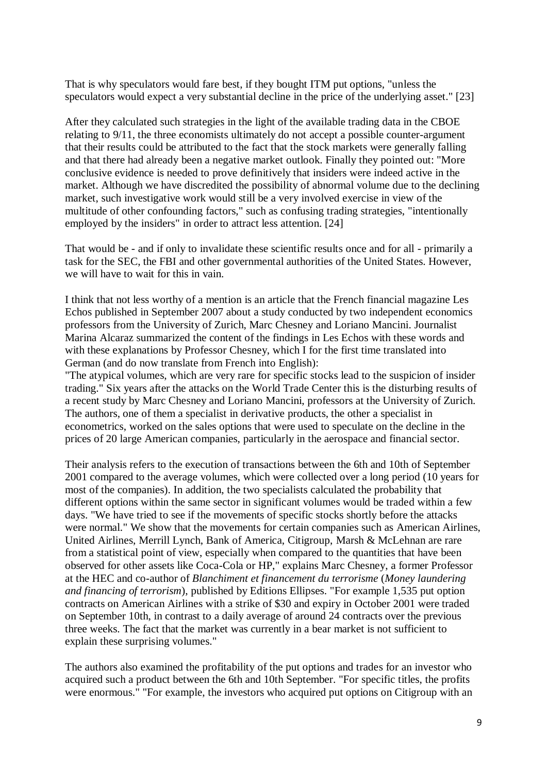That is why speculators would fare best, if they bought ITM put options, "unless the speculators would expect a very substantial decline in the price of the underlying asset." [23]

After they calculated such strategies in the light of the available trading data in the CBOE relating to 9/11, the three economists ultimately do not accept a possible counter-argument that their results could be attributed to the fact that the stock markets were generally falling and that there had already been a negative market outlook. Finally they pointed out: "More conclusive evidence is needed to prove definitively that insiders were indeed active in the market. Although we have discredited the possibility of abnormal volume due to the declining market, such investigative work would still be a very involved exercise in view of the multitude of other confounding factors," such as confusing trading strategies, "intentionally employed by the insiders" in order to attract less attention. [24]

That would be - and if only to invalidate these scientific results once and for all - primarily a task for the SEC, the FBI and other governmental authorities of the United States. However, we will have to wait for this in vain.

I think that not less worthy of a mention is an article that the French financial magazine Les Echos published in September 2007 about a study conducted by two independent economics professors from the University of Zurich, Marc Chesney and Loriano Mancini. Journalist Marina Alcaraz summarized the content of the findings in Les Echos with these words and with these explanations by Professor Chesney, which I for the first time translated into German (and do now translate from French into English):

"The atypical volumes, which are very rare for specific stocks lead to the suspicion of insider trading." Six years after the attacks on the World Trade Center this is the disturbing results of a recent study by Marc Chesney and Loriano Mancini, professors at the University of Zurich. The authors, one of them a specialist in derivative products, the other a specialist in econometrics, worked on the sales options that were used to speculate on the decline in the prices of 20 large American companies, particularly in the aerospace and financial sector.

Their analysis refers to the execution of transactions between the 6th and 10th of September 2001 compared to the average volumes, which were collected over a long period (10 years for most of the companies). In addition, the two specialists calculated the probability that different options within the same sector in significant volumes would be traded within a few days. "We have tried to see if the movements of specific stocks shortly before the attacks were normal." We show that the movements for certain companies such as American Airlines, United Airlines, Merrill Lynch, Bank of America, Citigroup, Marsh & McLehnan are rare from a statistical point of view, especially when compared to the quantities that have been observed for other assets like Coca-Cola or HP," explains Marc Chesney, a former Professor at the HEC and co-author of *Blanchiment et financement du terrorisme* (*Money laundering and financing of terrorism*), published by Editions Ellipses. "For example 1,535 put option contracts on American Airlines with a strike of \$30 and expiry in October 2001 were traded on September 10th, in contrast to a daily average of around 24 contracts over the previous three weeks. The fact that the market was currently in a bear market is not sufficient to explain these surprising volumes."

The authors also examined the profitability of the put options and trades for an investor who acquired such a product between the 6th and 10th September. "For specific titles, the profits were enormous." "For example, the investors who acquired put options on Citigroup with an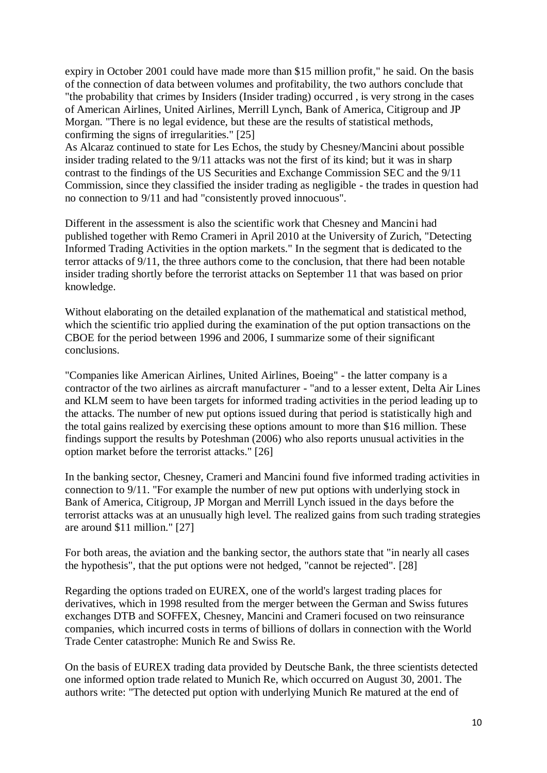expiry in October 2001 could have made more than \$15 million profit," he said. On the basis of the connection of data between volumes and profitability, the two authors conclude that "the probability that crimes by Insiders (Insider trading) occurred , is very strong in the cases of American Airlines, United Airlines, Merrill Lynch, Bank of America, Citigroup and JP Morgan. "There is no legal evidence, but these are the results of statistical methods, confirming the signs of irregularities." [25]

As Alcaraz continued to state for Les Echos, the study by Chesney/Mancini about possible insider trading related to the 9/11 attacks was not the first of its kind; but it was in sharp contrast to the findings of the US Securities and Exchange Commission SEC and the 9/11 Commission, since they classified the insider trading as negligible - the trades in question had no connection to 9/11 and had "consistently proved innocuous".

Different in the assessment is also the scientific work that Chesney and Mancini had published together with Remo Crameri in April 2010 at the University of Zurich, "Detecting Informed Trading Activities in the option markets." In the segment that is dedicated to the terror attacks of 9/11, the three authors come to the conclusion, that there had been notable insider trading shortly before the terrorist attacks on September 11 that was based on prior knowledge.

Without elaborating on the detailed explanation of the mathematical and statistical method, which the scientific trio applied during the examination of the put option transactions on the CBOE for the period between 1996 and 2006, I summarize some of their significant conclusions.

"Companies like American Airlines, United Airlines, Boeing" - the latter company is a contractor of the two airlines as aircraft manufacturer - "and to a lesser extent, Delta Air Lines and KLM seem to have been targets for informed trading activities in the period leading up to the attacks. The number of new put options issued during that period is statistically high and the total gains realized by exercising these options amount to more than \$16 million. These findings support the results by Poteshman (2006) who also reports unusual activities in the option market before the terrorist attacks." [26]

In the banking sector, Chesney, Crameri and Mancini found five informed trading activities in connection to 9/11. "For example the number of new put options with underlying stock in Bank of America, Citigroup, JP Morgan and Merrill Lynch issued in the days before the terrorist attacks was at an unusually high level. The realized gains from such trading strategies are around \$11 million." [27]

For both areas, the aviation and the banking sector, the authors state that "in nearly all cases the hypothesis", that the put options were not hedged, "cannot be rejected". [28]

Regarding the options traded on EUREX, one of the world's largest trading places for derivatives, which in 1998 resulted from the merger between the German and Swiss futures exchanges DTB and SOFFEX, Chesney, Mancini and Crameri focused on two reinsurance companies, which incurred costs in terms of billions of dollars in connection with the World Trade Center catastrophe: Munich Re and Swiss Re.

On the basis of EUREX trading data provided by Deutsche Bank, the three scientists detected one informed option trade related to Munich Re, which occurred on August 30, 2001. The authors write: "The detected put option with underlying Munich Re matured at the end of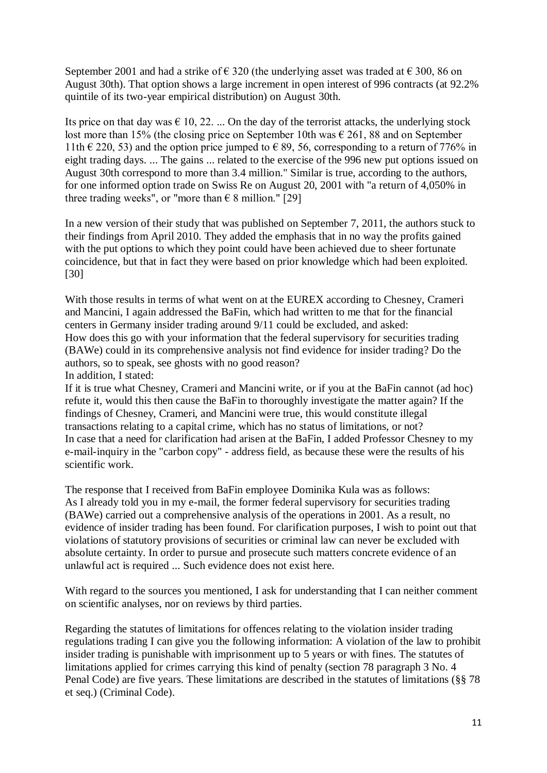September 2001 and had a strike of  $\epsilon$  320 (the underlying asset was traded at  $\epsilon$  300, 86 on August 30th). That option shows a large increment in open interest of 996 contracts (at 92.2% quintile of its two-year empirical distribution) on August 30th.

Its price on that day was  $\epsilon$  10, 22. ... On the day of the terrorist attacks, the underlying stock lost more than 15% (the closing price on September 10th was  $\epsilon$  261, 88 and on September 11th  $\in$  220, 53) and the option price jumped to  $\in$  89, 56, corresponding to a return of 776% in eight trading days. ... The gains ... related to the exercise of the 996 new put options issued on August 30th correspond to more than 3.4 million." Similar is true, according to the authors, for one informed option trade on Swiss Re on August 20, 2001 with "a return of 4,050% in three trading weeks", or "more than  $\epsilon$  8 million." [29]

In a new version of their study that was published on September 7, 2011, the authors stuck to their findings from April 2010. They added the emphasis that in no way the profits gained with the put options to which they point could have been achieved due to sheer fortunate coincidence, but that in fact they were based on prior knowledge which had been exploited. [30]

With those results in terms of what went on at the EUREX according to Chesney, Crameri and Mancini, I again addressed the BaFin, which had written to me that for the financial centers in Germany insider trading around 9/11 could be excluded, and asked: How does this go with your information that the federal supervisory for securities trading (BAWe) could in its comprehensive analysis not find evidence for insider trading? Do the authors, so to speak, see ghosts with no good reason? In addition, I stated:

If it is true what Chesney, Crameri and Mancini write, or if you at the BaFin cannot (ad hoc) refute it, would this then cause the BaFin to thoroughly investigate the matter again? If the findings of Chesney, Crameri, and Mancini were true, this would constitute illegal transactions relating to a capital crime, which has no status of limitations, or not? In case that a need for clarification had arisen at the BaFin, I added Professor Chesney to my e-mail-inquiry in the "carbon copy" - address field, as because these were the results of his scientific work.

The response that I received from BaFin employee Dominika Kula was as follows: As I already told you in my e-mail, the former federal supervisory for securities trading (BAWe) carried out a comprehensive analysis of the operations in 2001. As a result, no evidence of insider trading has been found. For clarification purposes, I wish to point out that violations of statutory provisions of securities or criminal law can never be excluded with absolute certainty. In order to pursue and prosecute such matters concrete evidence of an unlawful act is required ... Such evidence does not exist here.

With regard to the sources you mentioned, I ask for understanding that I can neither comment on scientific analyses, nor on reviews by third parties.

Regarding the statutes of limitations for offences relating to the violation insider trading regulations trading I can give you the following information: A violation of the law to prohibit insider trading is punishable with imprisonment up to 5 years or with fines. The statutes of limitations applied for crimes carrying this kind of penalty (section 78 paragraph 3 No. 4 Penal Code) are five years. These limitations are described in the statutes of limitations (§§ 78 et seq.) (Criminal Code).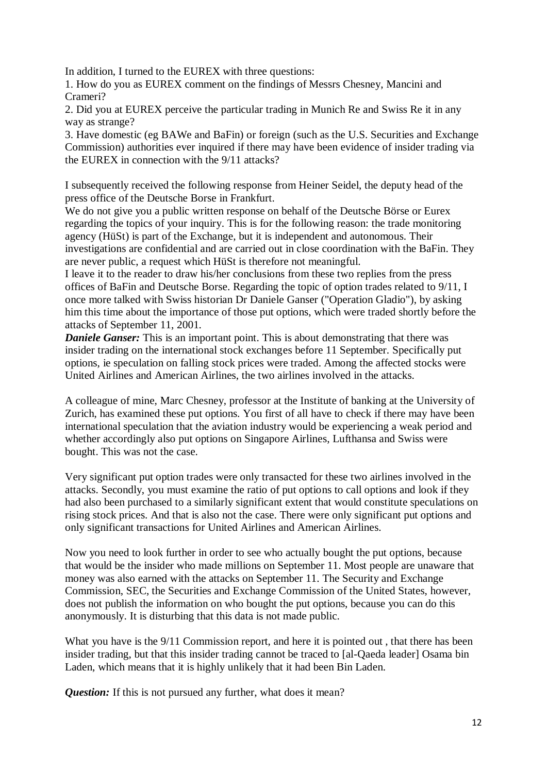In addition, I turned to the EUREX with three questions:

1. How do you as EUREX comment on the findings of Messrs Chesney, Mancini and Crameri?

2. Did you at EUREX perceive the particular trading in Munich Re and Swiss Re it in any way as strange?

3. Have domestic (eg BAWe and BaFin) or foreign (such as the U.S. Securities and Exchange Commission) authorities ever inquired if there may have been evidence of insider trading via the EUREX in connection with the 9/11 attacks?

I subsequently received the following response from Heiner Seidel, the deputy head of the press office of the Deutsche Borse in Frankfurt.

We do not give you a public written response on behalf of the Deutsche Börse or Eurex regarding the topics of your inquiry. This is for the following reason: the trade monitoring agency (HüSt) is part of the Exchange, but it is independent and autonomous. Their investigations are confidential and are carried out in close coordination with the BaFin. They are never public, a request which HüSt is therefore not meaningful.

I leave it to the reader to draw his/her conclusions from these two replies from the press offices of BaFin and Deutsche Borse. Regarding the topic of option trades related to 9/11, I once more talked with Swiss historian Dr Daniele Ganser ("Operation Gladio"), by asking him this time about the importance of those put options, which were traded shortly before the attacks of September 11, 2001.

*Daniele Ganser:* This is an important point. This is about demonstrating that there was insider trading on the international stock exchanges before 11 September. Specifically put options, ie speculation on falling stock prices were traded. Among the affected stocks were United Airlines and American Airlines, the two airlines involved in the attacks.

A colleague of mine, Marc Chesney, professor at the Institute of banking at the University of Zurich, has examined these put options. You first of all have to check if there may have been international speculation that the aviation industry would be experiencing a weak period and whether accordingly also put options on Singapore Airlines, Lufthansa and Swiss were bought. This was not the case.

Very significant put option trades were only transacted for these two airlines involved in the attacks. Secondly, you must examine the ratio of put options to call options and look if they had also been purchased to a similarly significant extent that would constitute speculations on rising stock prices. And that is also not the case. There were only significant put options and only significant transactions for United Airlines and American Airlines.

Now you need to look further in order to see who actually bought the put options, because that would be the insider who made millions on September 11. Most people are unaware that money was also earned with the attacks on September 11. The Security and Exchange Commission, SEC, the Securities and Exchange Commission of the United States, however, does not publish the information on who bought the put options, because you can do this anonymously. It is disturbing that this data is not made public.

What you have is the 9/11 Commission report, and here it is pointed out, that there has been insider trading, but that this insider trading cannot be traced to [al-Qaeda leader] Osama bin Laden, which means that it is highly unlikely that it had been Bin Laden.

*Question:* If this is not pursued any further, what does it mean?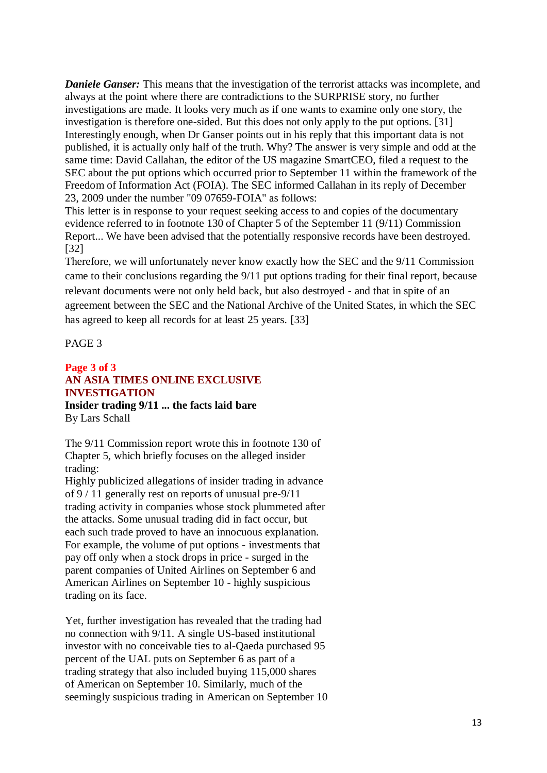*Daniele Ganser:* This means that the investigation of the terrorist attacks was incomplete, and always at the point where there are contradictions to the SURPRISE story, no further investigations are made. It looks very much as if one wants to examine only one story, the investigation is therefore one-sided. But this does not only apply to the put options. [31] Interestingly enough, when Dr Ganser points out in his reply that this important data is not published, it is actually only half of the truth. Why? The answer is very simple and odd at the same time: David Callahan, the editor of the US magazine SmartCEO, filed a request to the SEC about the put options which occurred prior to September 11 within the framework of the Freedom of Information Act (FOIA). The SEC informed Callahan in its reply of December 23, 2009 under the number "09 07659-FOIA" as follows:

This letter is in response to your request seeking access to and copies of the documentary evidence referred to in footnote 130 of Chapter 5 of the September 11 (9/11) Commission Report... We have been advised that the potentially responsive records have been destroyed. [32]

Therefore, we will unfortunately never know exactly how the SEC and the 9/11 Commission came to their conclusions regarding the 9/11 put options trading for their final report, because relevant documents were not only held back, but also destroyed - and that in spite of an agreement between the SEC and the National Archive of the United States, in which the SEC has agreed to keep all records for at least 25 years. [33]

PAGE 3

## **Page 3 of 3 AN ASIA TIMES ONLINE EXCLUSIVE INVESTIGATION Insider trading 9/11 ... the facts laid bare** By Lars Schall

The 9/11 Commission report wrote this in footnote 130 of Chapter 5, which briefly focuses on the alleged insider trading:

Highly publicized allegations of insider trading in advance of 9 / 11 generally rest on reports of unusual pre-9/11 trading activity in companies whose stock plummeted after the attacks. Some unusual trading did in fact occur, but each such trade proved to have an innocuous explanation. For example, the volume of put options - investments that pay off only when a stock drops in price - surged in the parent companies of United Airlines on September 6 and American Airlines on September 10 - highly suspicious trading on its face.

Yet, further investigation has revealed that the trading had no connection with 9/11. A single US-based institutional investor with no conceivable ties to al-Qaeda purchased 95 percent of the UAL puts on September 6 as part of a trading strategy that also included buying 115,000 shares of American on September 10. Similarly, much of the seemingly suspicious trading in American on September 10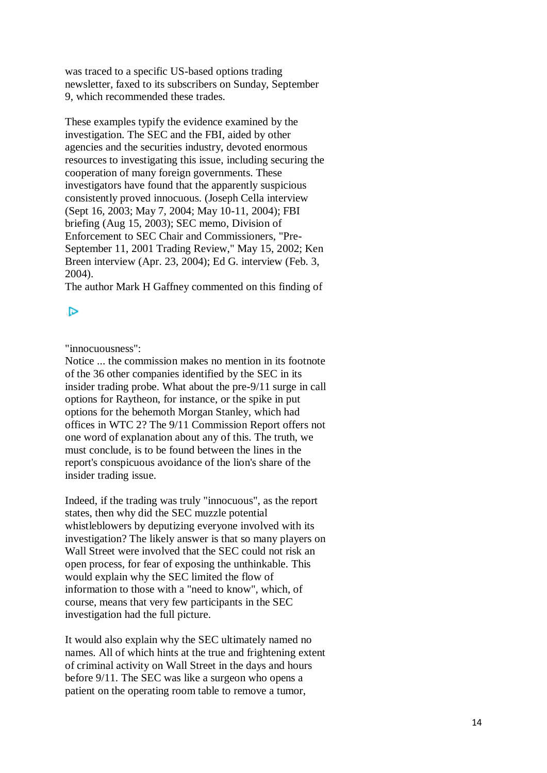was traced to a specific US-based options trading newsletter, faxed to its subscribers on Sunday, September 9, which recommended these trades.

These examples typify the evidence examined by the investigation. The SEC and the FBI, aided by other agencies and the securities industry, devoted enormous resources to investigating this issue, including securing the cooperation of many foreign governments. These investigators have found that the apparently suspicious consistently proved innocuous. (Joseph Cella interview (Sept 16, 2003; May 7, 2004; May 10-11, 2004); FBI briefing (Aug 15, 2003); SEC memo, Division of Enforcement to SEC Chair and Commissioners, "Pre-September 11, 2001 Trading Review," May 15, 2002; Ken Breen interview (Apr. 23, 2004); Ed G. interview (Feb. 3, 2004).

The author Mark H Gaffney commented on this finding of

# ▷

"innocuousness":

Notice ... the commission makes no mention in its footnote of the 36 other companies identified by the SEC in its insider trading probe. What about the pre-9/11 surge in call options for Raytheon, for instance, or the spike in put options for the behemoth Morgan Stanley, which had offices in WTC 2? The 9/11 Commission Report offers not one word of explanation about any of this. The truth, we must conclude, is to be found between the lines in the report's conspicuous avoidance of the lion's share of the insider trading issue.

Indeed, if the trading was truly "innocuous", as the report states, then why did the SEC muzzle potential whistleblowers by deputizing everyone involved with its investigation? The likely answer is that so many players on Wall Street were involved that the SEC could not risk an open process, for fear of exposing the unthinkable. This would explain why the SEC limited the flow of information to those with a "need to know", which, of course, means that very few participants in the SEC investigation had the full picture.

It would also explain why the SEC ultimately named no names. All of which hints at the true and frightening extent of criminal activity on Wall Street in the days and hours before 9/11. The SEC was like a surgeon who opens a patient on the operating room table to remove a tumor,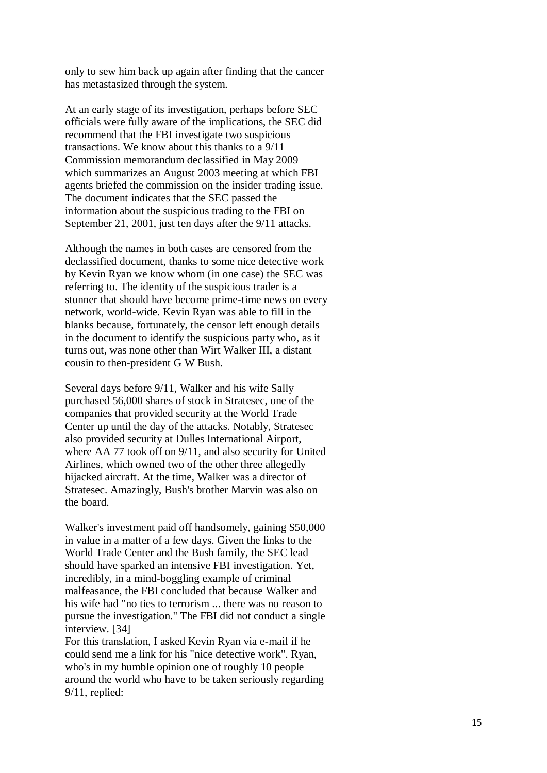only to sew him back up again after finding that the cancer has metastasized through the system.

At an early stage of its investigation, perhaps before SEC officials were fully aware of the implications, the SEC did recommend that the FBI investigate two suspicious transactions. We know about this thanks to a 9/11 Commission memorandum declassified in May 2009 which summarizes an August 2003 meeting at which FBI agents briefed the commission on the insider trading issue. The document indicates that the SEC passed the information about the suspicious trading to the FBI on September 21, 2001, just ten days after the 9/11 attacks.

Although the names in both cases are censored from the declassified document, thanks to some nice detective work by Kevin Ryan we know whom (in one case) the SEC was referring to. The identity of the suspicious trader is a stunner that should have become prime -time news on every network, world -wide. Kevin Ryan was able to fill in the blanks because, fortunately, the censor left enough details in the document to identify the suspicious party who, as it turns out, was none other than Wirt Walker III, a distant cousin to then -president G W Bush.

Several days before 9/11, Walker and his wife Sally purchased 56,000 shares of stock in Stratesec, one of the companies that provided security at the World Trade Center up until the day of the attacks. Notably, Stratesec also provided security at Dulles International Airport, where AA 77 took off on 9/11, and also security for United Airlines, which owned two of the other three allegedly hijacked aircraft. At the time, Walker was a director of Stratesec. Amazingly, Bush's brother Marvin was also on the board.

Walker's investment paid off handsomely, gaining \$50,000 in value in a matter of a few days. Given the links to the World Trade Center and the Bush family, the SEC lead should have sparked an intensive FBI investigation. Yet, incredibly, in a mind -boggling example of criminal malfeasance, the FBI concluded that because Walker and his wife had "no ties to terrorism ... there was no reason to pursue the investigation." The FBI did not conduct a single interview. [34]

For this translation, I asked Kevin Ryan via e -mail if he could send me a link for his "nice detective work". Ryan, who's in my humble opinion one of roughly 10 people around the world who have to be taken seriously regarding 9/11, replied: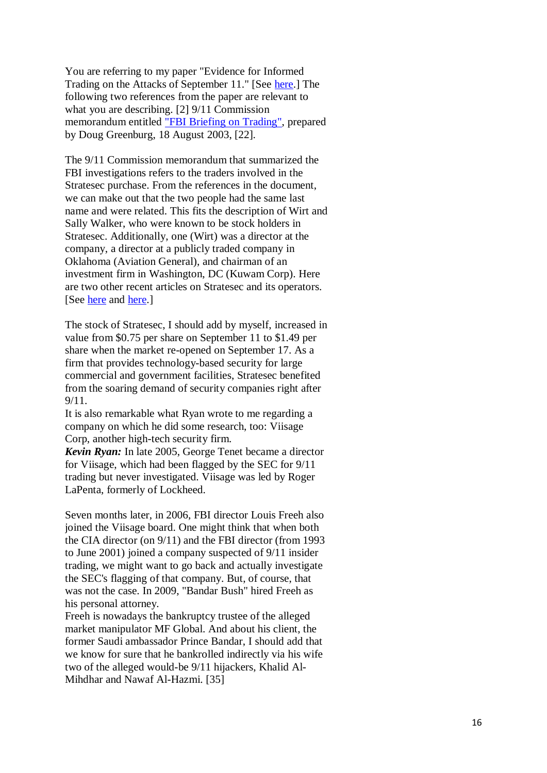You are referring to my paper "Evidence for Informed Trading on the Attacks of September 11." [See [here.](http://www.foreignpolicyjournal.com/2010/11/18/evidence-for-informed-trading-on-the-attacks-of-september-11/)] The following two references from the paper are relevant to what you are describing. [2] 9/11 Commission memorandum entitled ["FBI Briefing on](http://media.nara.gov/9-11/MFR/t-0148-911MFR-00269.pdf) Trading", prepared by Doug Greenburg, 18 August 2003, [22].

The 9/11 Commission memorandum that summarized the FBI investigations refers to the traders involved in the Stratesec purchase. From the references in the document, we can make out that the two people had the same last name and were related. This fits the description of Wirt and Sally Walker, who were known to be stock holders in Stratesec. Additionally, one (Wirt) was a director at the company, a director at a publicly traded company in Oklahoma (Aviation General), and chairman of an investment firm in Washington, DC (Kuwam Corp). Here are two other recent articles on Stratesec and its operators. [See [here](http://digwithin.net/2012/02/24/kuwam-and-stratesec-directors/) and [here.](http://digwithin.net/2012/01/01/a-small-world/)]

The stock of Stratesec, I should add by myself, increased in value from \$0.75 per share on September 11 to \$1.49 per share when the market re -opened on September 17. As a firm that provides technology -based security for large commercial and government facilities, Stratesec benefited from the soaring demand of security companies right after 9/11.

It is also remarkable what Ryan wrote to me regarding a company on which he did some research, too: Viisage Corp, another high -tech security firm.

*Kevin Ryan:* In late 2005, George Tenet became a director for Viisage, which had been flagged by the SEC for 9/11 trading but never investigated. Viisage was led by Roger LaPenta, formerly of Lockheed.

Seven months later, in 2006, FBI director Louis Freeh also joined the Viisage board. One might think that when both the CIA director (on 9/11) and the FBI director (from 1993 to June 2001) joined a company suspected of 9/11 insider trading, we might want to go back and actually investigate the SEC's flagging of that company. But, of course, that was not the case. In 2009, "Bandar Bush" hired Freeh as his personal attorney.

Freeh is nowadays the bankruptcy trustee of the alleged market manipulator MF Global. And about his client, the former Saudi ambassador Prince Bandar, I should add that we know for sure that he bankrolled indirectly via his wife two of the alleged would-be 9/11 hijackers, Khalid Al-Mihdhar and Nawaf Al -Hazmi. [35]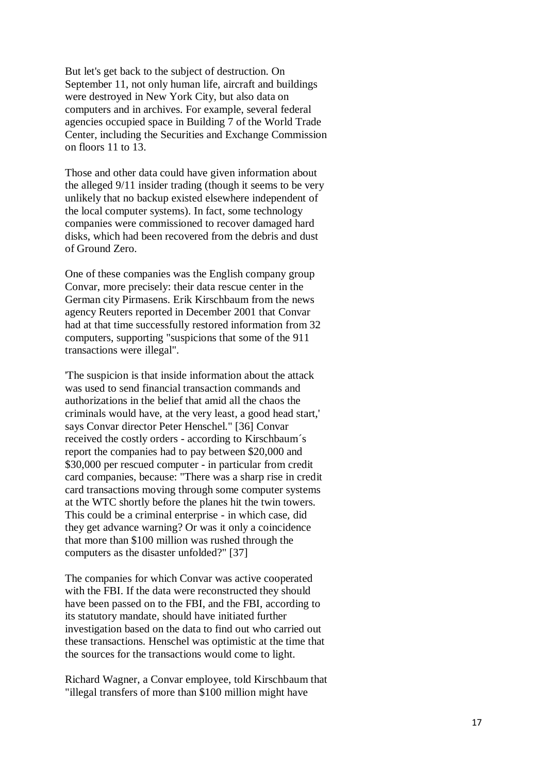But let's get back to the subject of destruction. On September 11, not only human life, aircraft and buildings were destroyed in New York City, but also data on computers and in archives. For example, several federal agencies occupied space in Building 7 of the World Trade Center, including the Securities and Exchange Commission on floors 11 to 13.

Those and other data could have given information about the alleged 9/11 insider trading (though it seems to be very unlikely that no backup existed elsewhere independent of the local computer systems). In fact, some technology companies were commissioned to recover damaged hard disks, which had been recovered from the debris and dust of Ground Zero.

One of these companies was the English company group Convar, more precisely: their data rescue center in the German city Pirmasens. Erik Kirschbaum from the news agency Reuters reported in December 2001 that Convar had at that time successfully restored information from 32 computers, supporting "suspicions that some of the 911 transactions were illegal".

'The suspicion is that inside information about the attack was used to send financial transaction commands and authorizations in the belief that amid all the chaos the criminals would have, at the very least, a good head start,' says Convar director Peter Henschel." [36] Convar received the costly orders - according to Kirschbaum´s report the companies had to pay between \$20,000 and \$30,000 per rescued computer - in particular from credit card companies, because: "There was a sharp rise in credit card transactions moving through some computer systems at the WTC shortly before the planes hit the twin towers. This could be a criminal enterprise - in which case, did they get advance warning? Or was it only a coincidence that more than \$100 million was rushed through the computers as the disaster unfolded?" [37]

The companies for which Convar was active cooperated with the FBI. If the data were reconstructed they should have been passed on to the FBI, and the FBI, according to its statutory mandate, should have initiated further investigation based on the data to find out who carried out these transactions. Henschel was optimistic at the time that the sources for the transactions would come to light.

Richard Wagner, a Convar employee, told Kirschbaum that "illegal transfers of more than \$100 million might have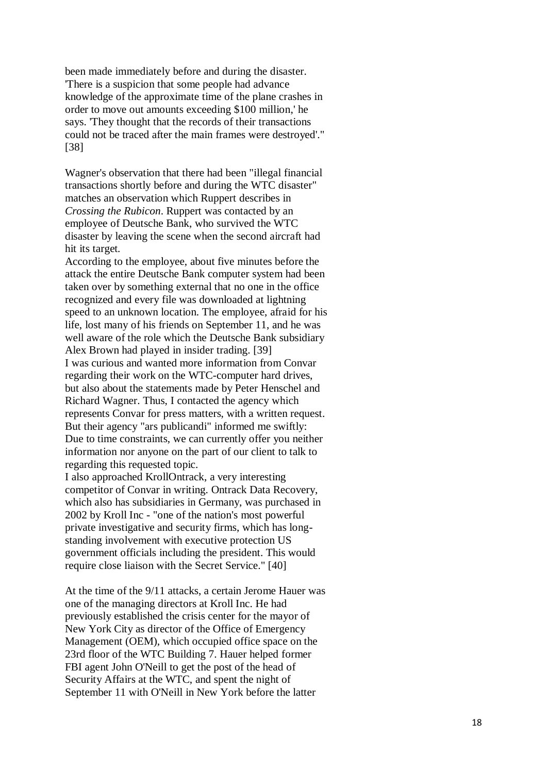been made immediately before and during the disaster. 'There is a suspicion that some people had advance knowledge of the approximate time of the plane crashes in order to move out amounts exceeding \$100 million,' he says. 'They thought that the records of their transactions could not be traced after the main frames were destroyed'." [38]

Wagner's observation that there had been "illegal financial transactions shortly before and during the WTC disaster" matches an observation which Ruppert describes in *Crossing the Rubicon*. Ruppert was contacted by an employee of Deutsche Bank, who survived the WTC disaster by leaving the scene when the second aircraft had hit its target.

According to the employee, about five minutes before the attack the entire Deutsche Bank computer system had been taken over by something external that no one in the office recognized and every file was downloaded at lightning speed to an unknown location. The employee, afraid for his life, lost many of his friends on September 11, and he was well aware of the role which the Deutsche Bank subsidiary Alex Brown had played in insider trading. [39] I was curious and wanted more information from Convar regarding their work on the WTC -computer hard drives, but also about the statements made by Peter Henschel and Richard Wagner. Thus, I contacted the agency which represents Convar for press matters, with a written request. But their agency "ars publicandi" informed me swiftly: Due to time constraints, we can currently offer you neither information nor anyone on the part of our client to talk to regarding this requested topic.

I also approached KrollOntrack, a very interesting competitor of Convar in writing. Ontrack Data Recovery, which also has subsidiaries in Germany, was purchased in 2002 by Kroll Inc - "one of the nation's most powerful private investigative and security firms, which has long standing involvement with executive protection US government officials including the president. This would require close liaison with the Secret Service." [40]

At the time of the 9/11 attacks, a certain Jerome Hauer was one of the managing directors at Kroll Inc. He had previously established the crisis center for the mayor of New York City as director of the Office of Emergency Management (OEM), which occupied office space on the 23rd floor of the WTC Building 7. Hauer helped former FBI agent John O'Neill to get the post of the head of Security Affairs at the WTC, and spent the night of September 11 with O'Neill in New York before the latter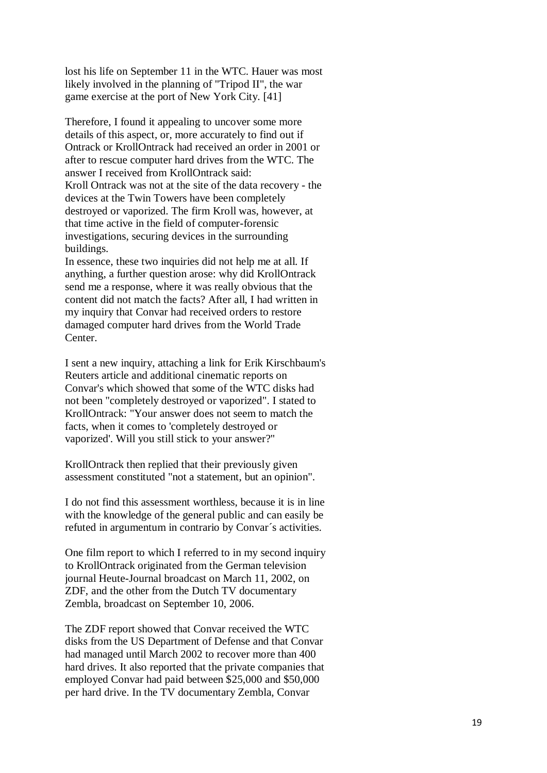lost his life on September 11 in the WTC. Hauer was most likely involved in the planning of "Tripod II", the war game exercise at the port of New York City. [41]

Therefore, I found it appealing to uncover some more details of this aspect, or, more accurately to find out if Ontrack or KrollOntrack had received an order in 2001 or after to rescue computer hard drives from the WTC. The answer I received from KrollOntrack said: Kroll Ontrack was not at the site of the data recovery - the devices at the Twin Towers have been completely destroyed or vaporized. The firm Kroll was, however, at that time active in the field of computer -forensic investigations, securing devices in the surrounding buildings.

In essence, these two inquiries did not help me at all. If anything, a further question arose: why did KrollOntrack send me a response, where it was really obvious that the content did not match the facts? After all, I had written in my inquiry that Convar had received orders to restore damaged computer hard drives from the World Trade Center.

I sent a new inquiry, attaching a link for Erik Kirschbaum's Reuters article and additional cinematic reports on Convar's which showed that some of the WTC disks had not been "completely destroyed or vaporized". I stated to KrollOntrack: "Your answer does not seem to match the facts, when it comes to 'completely destroyed or vaporized'. Will you still stick to your answer?"

KrollOntrack then replied that their previously given assessment constituted "not a statement, but an opinion".

I do not find this assessment worthless, because it is in line with the knowledge of the general public and can easily be refuted in argumentum in contrario by Convar´s activities.

One film report to which I referred to in my second inquiry to KrollOntrack originated from the German television journal Heute -Journal broadcast on March 11, 2002, on ZDF, and the other from the Dutch TV documentary Zembla, broadcast on September 10, 2006. The ZDF report showed that Convar received the WTC

disks from the US Department of Defense and that Convar had managed until March 2002 to recover more than 400 hard drives. It also reported that the private companies that employed Convar had paid between \$25,000 and \$50,000 per hard drive. In the TV documentary Zembla, Convar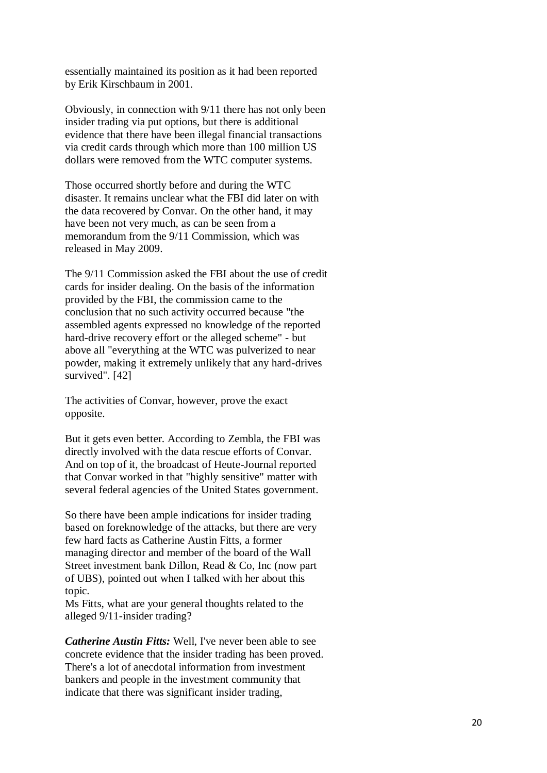essentially maintained its position as it had been reported by Erik Kirschbaum in 2001.

Obviously, in connection with 9/11 there has not only been insider trading via put options, but there is additional evidence that there have been illegal financial transactions via credit cards through which more than 100 million US dollars were removed from the WTC computer systems.

Those occurred shortly before and during the WTC disaster. It remains unclear what the FBI did later on with the data recovered by Convar. On the other hand, it may have been not very much, as can be seen from a memorandum from the 9/11 Commission, which was released in May 2009.

The 9/11 Commission asked the FBI about the use of credit cards for insider dealing. On the basis of the information provided by the FBI, the commission came to the conclusion that no such activity occurred because "the assembled agents expressed no knowledge of the reported hard-drive recovery effort or the alleged scheme" - but above all "everything at the WTC was pulverized to near powder, making it extremely unlikely that any hard-drives survived". [42]

The activities of Convar, however, prove the exact opposite.

But it gets even better. According to Zembla, the FBI was directly involved with the data rescue efforts of Convar. And on top of it, the broadcast of Heute-Journal reported that Convar worked in that "highly sensitive" matter with several federal agencies of the United States government.

So there have been ample indications for insider trading based on foreknowledge of the attacks, but there are very few hard facts as Catherine Austin Fitts, a former managing director and member of the board of the Wall Street investment bank Dillon, Read & Co, Inc (now part of UBS), pointed out when I talked with her about this topic.

Ms Fitts, what are your general thoughts related to the alleged 9/11-insider trading?

*Catherine Austin Fitts:* Well, I've never been able to see concrete evidence that the insider trading has been proved. There's a lot of anecdotal information from investment bankers and people in the investment community that indicate that there was significant insider trading,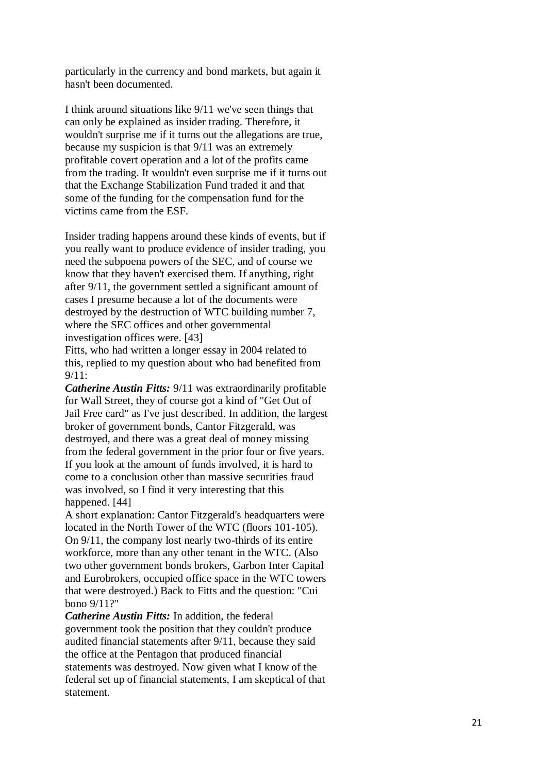particularly in the currency and bond markets, but again it hasn't been documented.

I think around situations like 9/11 we've seen things that can only be explained as insider trading. Therefore, it wouldn't surprise me if it turns out the allegations are true, because my suspicion is that 9/11 was an extremely profitable covert operation and a lot of the profits came from the trading. It wouldn't even surprise me if it turns out that the Exchange Stabilization Fund traded it and that some of the funding for the compensation fund for the victims came from the ESF.

Insider trading happens around these kinds of events, but if you really want to produce evidence of insider trading, you need the subpoena powers of the SEC, and of course we know that they haven't exercised them. If anything, right after 9/11, the government settled a significant amount of cases I presume because a lot of the documents were destroyed by the destruction of WTC building number 7, where the SEC offices and other governmental investigation offices were. [43]

Fitts, who had written a longer essay in 2004 related to this, replied to my question about who had benefited from 9/11:

*Catherine Austin Fitts:* 9/11 was extraordinarily profitable for Wall Street, they of course got a kind of "Get Out of Jail Free card" as I've just described. In addition, the largest broker of government bonds, Cantor Fitzgerald, was destroyed, and there was a great deal of money missing from the federal government in the prior four or five years. If you look at the amount of funds involved, it is hard to come to a conclusion other than massive securities fraud was involved, so I find it very interesting that this happened. [44]

A short explanation: Cantor Fitzgerald's headquarters were located in the North Tower of the WTC (floors 101-105). On 9/11, the company lost nearly two -thirds of its entire workforce, more than any other tenant in the WTC. (Also two other government bonds brokers, Garbon Inter Capital and Eurobrokers, occupied office space in the WTC towers that were destroyed.) Back to Fitts and the question: "Cui bono 9/11?"

*Catherine Austin Fitts:* In addition, the federal government took the position that they couldn't produce audited financial statements after 9/11, because they said the office at the Pentagon that produced financial statements was destroyed. Now given what I know of the federal set up of financial statements, I am skeptical of that statement.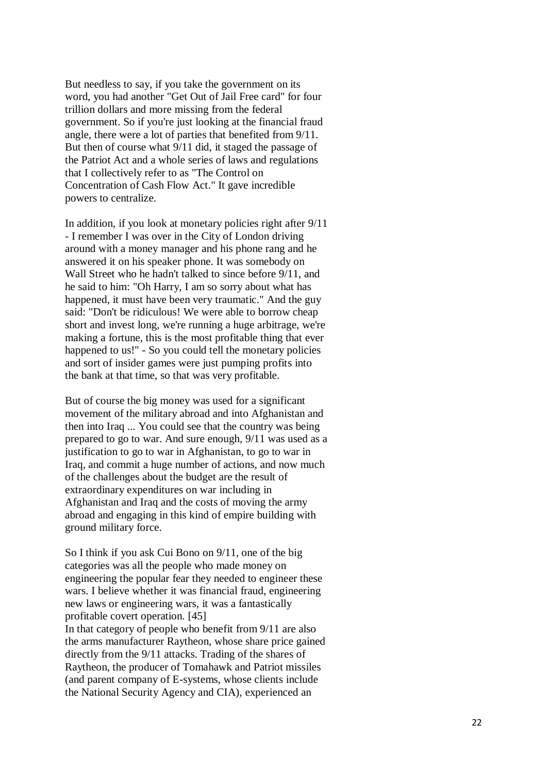But needless to say, if you take the government on its word, you had another "Get Out of Jail Free card" for four trillion dollars and more missing from the federal government. So if you're just looking at the financial fraud angle, there were a lot of parties that benefited from 9/11. But then of course what 9/11 did, it staged the passage of the Patriot Act and a whole series of laws and regulations that I collectively refer to as "The Control on Concentration of Cash Flow Act." It gave incredible powers to centralize.

In addition, if you look at monetary policies right after 9/11 - I remember I was over in the City of London driving around with a money manager and his phone rang and he answered it on his speaker phone. It was somebody on Wall Street who he hadn't talked to since before 9/11, and he said to him: "Oh Harry, I am so sorry about what has happened, it must have been very traumatic." And the guy said: "Don't be ridiculous! We were able to borrow cheap short and invest long, we're running a huge arbitrage, we're making a fortune, this is the most profitable thing that ever happened to us!" - So you could tell the monetary policies and sort of insider games were just pumping profits into the bank at that time, so that was very profitable.

But of course the big money was used for a significant movement of the military abroad and into Afghanistan and then into Iraq ... You could see that the country was being prepared to go to war. And sure enough, 9/11 was used as a justification to go to war in Afghanistan, to go to war in Iraq, and commit a huge number of actions, and now much of the challenges about the budget are the result of extraordinary expenditures on war including in Afghanistan and Iraq and the costs of moving the army abroad and engaging in this kind of empire building with ground military force.

So I think if you ask Cui Bono on 9/11, one of the big categories was all the people who made money on engineering the popular fear they needed to engineer these wars. I believe whether it was financial fraud, engineering new laws or engineering wars, it was a fantastically profitable covert operation. [45]

In that category of people who benefit from 9/11 are also the arms manufacturer Raytheon, whose share price gained directly from the 9/11 attacks. Trading of the shares of Raytheon, the producer of Tomahawk and Patriot missiles (and parent company of E -systems, whose clients include the National Security Agency and CIA), experienced an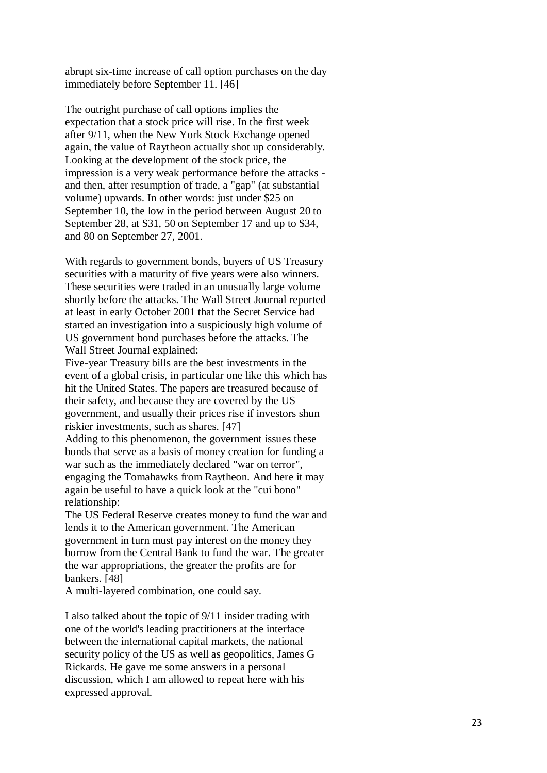abrupt six -time increase of call option purchases on the day immediately before September 11. [46]

The outright purchase of call options implies the expectation that a stock price will rise. In the first week after 9/11, when the New York Stock Exchange opened again, the value of Raytheon actually shot up considerably. Looking at the development of the stock price, the impression is a very weak performance before the attacks and then, after resumption of trade, a "gap" (at substantial volume) upwards. In other words: just under \$25 on September 10, the low in the period between August 20 to September 28, at \$31, 50 on September 17 and up to \$34, and 80 on September 27, 2001.

With regards to government bonds, buyers of US Treasury securities with a maturity of five years were also winners. These securities were traded in an unusually large volume shortly before the attacks. The Wall Street Journal reported at least in early October 2001 that the Secret Service had started an investigation into a suspiciously high volume of US government bond purchases before the attacks. The Wall Street Journal explained:

Five -year Treasury bills are the best investments in the event of a global crisis, in particular one like this which has hit the United States. The papers are treasured because of their safety, and because they are covered by the US government, and usually their prices rise if investors shun riskier investments, such as shares. [47]

Adding to this phenomenon, the government issues these bonds that serve as a basis of money creation for funding a war such as the immediately declared "war on terror", engaging the Tomahawks from Raytheon. And here it may again be useful to have a quick look at the "cui bono" relationship:

The US Federal Reserve creates money to fund the war and lends it to the American government. The American government in turn must pay interest on the money they borrow from the Central Bank to fund the war. The greater the war appropriations, the greater the profits are for bankers. [48]

A multi -layered combination, one could say.

I also talked about the topic of 9/11 insider trading with one of the world's leading practitioners at the interface between the international capital markets, the national security policy of the US as well as geopolitics, James G Rickards. He gave me some answers in a personal discussion, which I am allowed to repeat here with his expressed approval.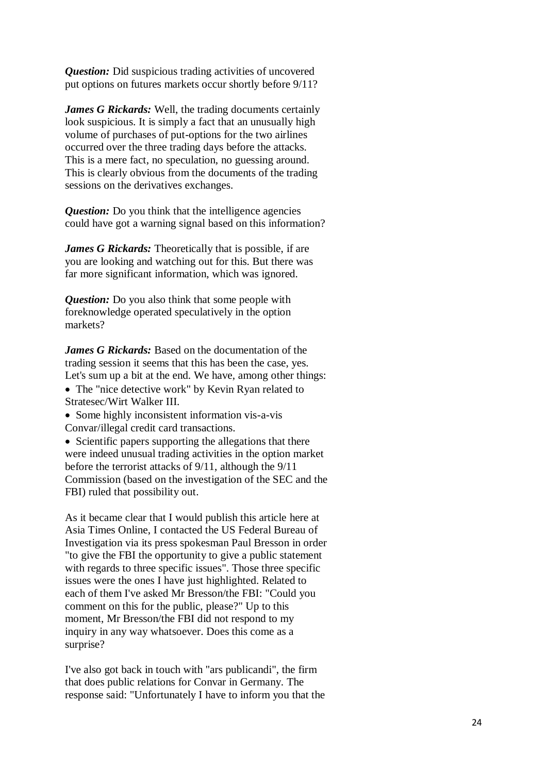*Question:* Did suspicious trading activities of uncovered put options on futures markets occur shortly before 9/11?

*James G Rickards:* Well, the trading documents certainly look suspicious. It is simply a fact that an unusually high volume of purchases of put-options for the two airlines occurred over the three trading days before the attacks. This is a mere fact, no speculation, no guessing around. This is clearly obvious from the documents of the trading sessions on the derivatives exchanges.

*Question:* Do you think that the intelligence agencies could have got a warning signal based on this information?

*James G Rickards:* Theoretically that is possible, if are you are looking and watching out for this. But there was far more significant information, which was ignored.

*Question:* Do you also think that some people with foreknowledge operated speculatively in the option markets?

*James G Rickards:* Based on the documentation of the trading session it seems that this has been the case, yes. Let's sum up a bit at the end. We have, among other things: • The "nice detective work" by Kevin Ryan related to Stratesec/Wirt Walker III.

• Some highly inconsistent information vis-a-vis Convar/illegal credit card transactions.

• Scientific papers supporting the allegations that there were indeed unusual trading activities in the option market before the terrorist attacks of 9/11, although the 9/11 Commission (based on the investigation of the SEC and the FBI) ruled that possibility out.

As it became clear that I would publish this article here at Asia Times Online, I contacted the US Federal Bureau of Investigation via its press spokesman Paul Bresson in order "to give the FBI the opportunity to give a public statement with regards to three specific issues". Those three specific issues were the ones I have just highlighted. Related to each of them I've asked Mr Bresson/the FBI: "Could you comment on this for the public, please?" Up to this moment, Mr Bresson/the FBI did not respond to my inquiry in any way whatsoever. Does this come as a surprise?

I've also got back in touch with "ars publicandi", the firm that does public relations for Convar in Germany. The response said: "Unfortunately I have to inform you that the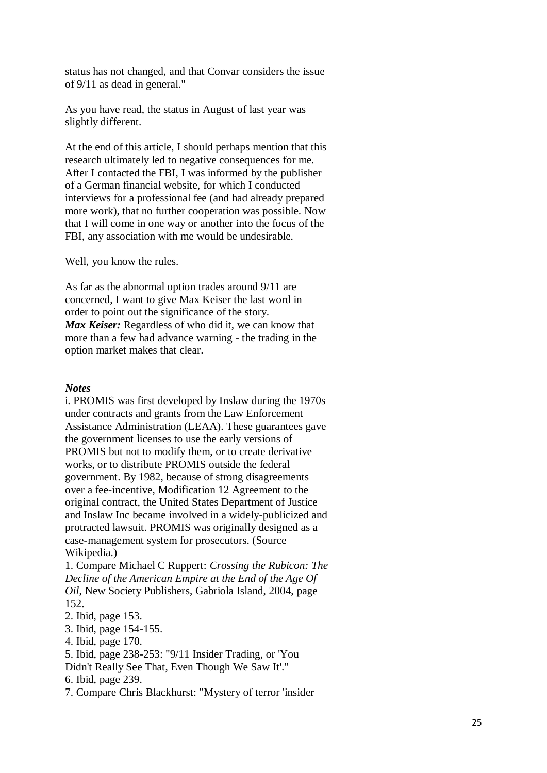status has not changed, and that Convar considers the issue of 9/11 as dead in general."

As you have read, the status in August of last year was slightly different.

At the end of this article, I should perhaps mention that this research ultimately led to negative consequences for me. After I contacted the FBI, I was informed by the publisher of a German financial website, for which I conducted interviews for a professional fee (and had already prepared more work), that no further cooperation was possible. Now that I will come in one way or another into the focus of the FBI, any association with me would be undesirable.

Well, you know the rules.

As far as the abnormal option trades around 9/11 are concerned, I want to give Max Keiser the last word in order to point out the significance of the story. *Max Keiser:* Regardless of who did it, we can know that more than a few had advance warning - the trading in the option market makes that clear.

#### *Notes*

i. PROMIS was first developed by Inslaw during the 1970s under contracts and grants from the Law Enforcement Assistance Administration (LEAA). These guarantees gave the government licenses to use the early versions of PROMIS but not to modify them, or to create derivative works, or to distribute PROMIS outside the federal government. By 1982, because of strong disagreements over a fee -incentive, Modification 12 Agreement to the original contract, the United States Department of Justice and Inslaw Inc became involved in a widely -publicized and protracted lawsuit. PROMIS was originally designed as a case -management system for prosecutors. (Source Wikipedia.)

1. Compare Michael C Ruppert: *Crossing the Rubicon: The Decline of the American Empire at the End of the Age Of Oil*, New Society Publishers, Gabriola Island, 2004, page 152.

- 2. Ibid, page 153.
- 3. Ibid, page 154 -155.
- 4. Ibid, page 170.

5. Ibid, page 238 -253: "9/11 Insider Trading, or 'You Didn't Really See That, Even Though We Saw It'."

6. Ibid, page 239.

7. Compare Chris Blackhurst: "Mystery of terror 'insider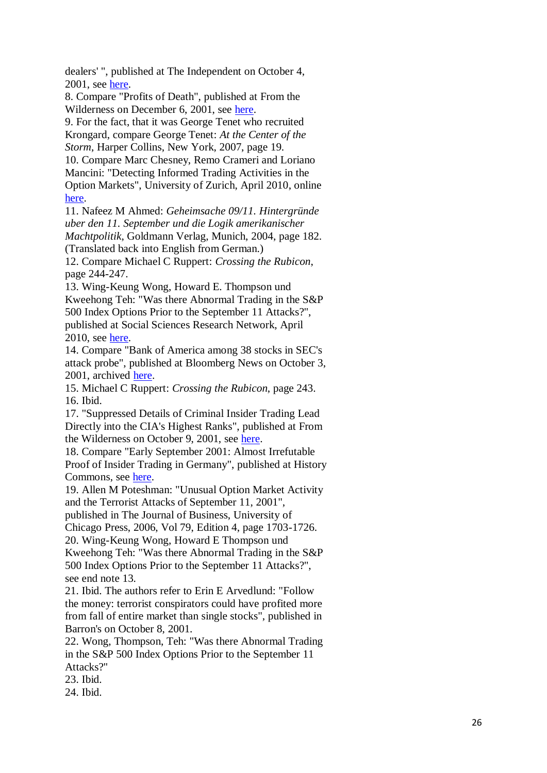dealers' ", published at The Independent on October 4, 2001, see [here.](http://www.independent.co.uk/news/business/news/mystery-of-terror-insider-dealers-631325.html)

8. Compare "Profits of Death", published at From the Wilderness on December 6, 2001, see [here.](http://www.fromthewilderness.com/free/ww3/12_06_01_death_profits_pt1.html)

9. For the fact, that it was George Tenet who recruited Krongard, compare George Tenet: *At the Center of the Storm*, Harper Collins, New York, 2007, page 19.

10. Compare Marc Chesney, Remo Crameri and Loriano Mancini: "Detecting Informed Trading Activities in the Option Markets", University of Zurich, April 2010, online [here.](http://www.bf.uzh.ch/publikationen/pdf/publ_2098.pdf)

11. Nafeez M Ahmed: *Geheimsache 09/11. Hintergründe uber den 11. September und die Logik amerikanischer Machtpolitik*, Goldmann Verlag, Munich, 2004, page 182. (Translated back into English from German.)

12. Compare Michael C Ruppert: *Crossing the Rubicon*, page 244 -247.

13. Wing -Keung Wong, Howard E. Thompson und Kweehong Teh: "Was there Abnormal Trading in the S&P 500 Index Options Prior to the September 11 Attacks?", published at Social Sciences Research Network, April 2010, see [here.](http://papers.ssrn.com/sol3/papers.cfm?abstract_id=1588523)

14. Compare "Bank of America among 38 stocks in SEC's attack probe", published at Bloomberg News on October 3, 2001, archived [here.](http://911research.wtc7.net/cache/sept11/bloombberg_BAamong38.html)

15. Michael C Ruppert: *Crossing the Rubicon*, page 243. 16. Ibid.

17. "Suppressed Details of Criminal Insider Trading Lead Directly into the CIA's Highest Ranks", published at From the Wilderness on October 9, 2001, see [here.](http://www.fromthewilderness.com/free/ww3/10_09_01_krongard.html)

18. Compare "Early September 2001: Almost Irrefutable Proof of Insider Trading in Germany", published at History Commons, see [here.](http://www.historycommons.org/entity.jsp?entity=ernst_welteke)

19. Allen M Poteshman: "Unusual Option Market Activity and the Terrorist Attacks of September 11, 2001",

published in The Journal of Business, University of

Chicago Press, 2006, Vol 79, Edition 4, page 1703 -1726. 20. Wing -Keung Wong, Howard E Thompson und

Kweehong Teh: "Was there Abnormal Trading in the S&P 500 Index Options Prior to the September 11 Attacks?", see end note 13.

21. Ibid. The authors refer to Erin E Arvedlund: "Follow the money: terrorist conspirators could have profited more from fall of entire market than single stocks", published in Barron's on October 8, 2001.

22. Wong, Thompson, Teh: "Was there Abnormal Trading in the S&P 500 Index Options Prior to the September 11 Attacks?"

23. Ibid.

24. Ibid.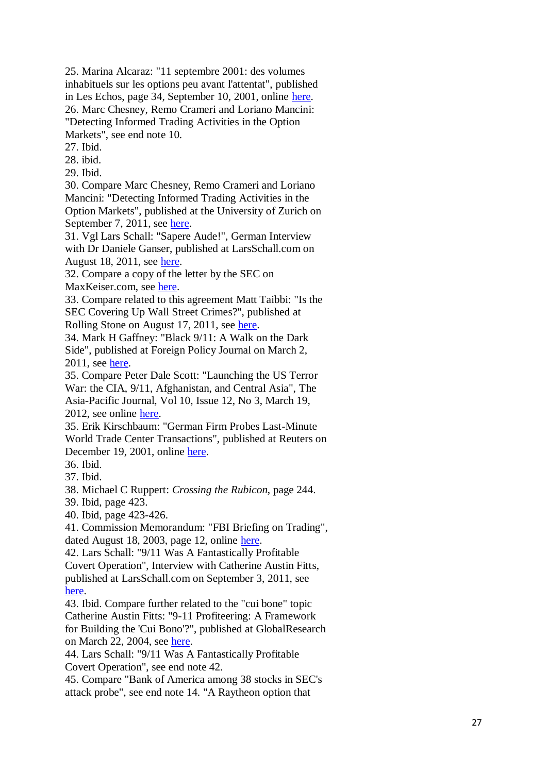25. Marina Alcaraz: "11 septembre 2001: des volumes inhabituels sur les options peu avant l'attentat", published in Les Echos, page 34, September 10, 2001, online [here.](http://archives.lesechos.fr/archives/2007/LesEchos/20001-166-ECH.htm) 26. Marc Chesney, Remo Crameri and Loriano Mancini: "Detecting Informed Trading Activities in the Option Markets", see end note 10.

27. Ibid.

28. ibid.

29. Ibid.

30. Compare Marc Chesney, Remo Crameri and Loriano Mancini: "Detecting Informed Trading Activities in the Option Markets", published at the University of Zurich on September 7, 2011, see [here.](http://www.bf.uzh.ch/publikationen/pdf/2098.pdf)

31. Vgl Lars Schall: "Sapere Aude!", German Interview with Dr Daniele Ganser, published at LarsSchall.com on August 18, 2011, see [here.](http://www.larsschall.com/2011/08/18/%E2%80%9Csapere-aude%E2%80%9C/)

32. Compare a copy of the letter by the SEC on

MaxKeiser.com, see [here.](http://maxkeiser.com/wp-content/uploads/2010/06/FOIAresponseGIF1.gif)

33. Compare related to this agreement Matt Taibbi: "Is the SEC Covering Up Wall Street Crimes?", published at Rolling Stone on August 17, 2011, see [here](http://www.rollingstone.com/politics/news/is-the-sec-covering-up-wall-streetcrimes-20110817).

34. Mark H Gaffney: "Black 9/11: A Walk on the Dark Side", published at Foreign Policy Journal on March 2, 2011, see [here.](http://www.foreignpolicyjournal.com/2011/03/02/black-911-a-walk-on-the-dark-side-2/2/)

35. Compare Peter Dale Scott: "Launching the US Terror War: the CIA, 9/11, Afghanistan, and Central Asia", The Asia -Pacific Journal, Vol 10, Issue 12, No 3, March 19, 2012, see online [here.](http://japanfocus.org/-Peter_Dale-Scott/3723)

35. Erik Kirschbaum: "German Firm Probes Last -Minute World Trade Center Transactions", published at Reuters on December 19, 2001, online [here.](http://www.naderlibrary.com/911.germanfirmprobeslastminutewtctrans.htm)

36. Ibid.

37. Ibid.

38. Michael C Ruppert: *Crossing the Rubicon*, page 244.

39. Ibid, page 423.

40. Ibid, page 423 -426.

41. Commission Memorandum: "FBI Briefing on Trading", dated August 18, 2003, page 12, online [here.](http://media.nara.gov/9-11/MFR/t-0148-911MFR-00269.pdf)

42. Lars Schall: "9/11 Was A Fantastically Profitable Covert Operation", Interview with Catherine Austin Fitts, published at LarsSchall.com on September 3, 2011, see [here](http://www.larsschall.com/2011/09/03/911-was-a-fantastically-profitable-covert-operation/).

43. Ibid. Compare further related to the "cui bone" topic Catherine Austin Fitts: "9 -11 Profiteering: A Framework for Building the 'Cui Bono'?", published at GlobalResearch on March 22, 2004, see [here](http://www.globalresearch.ca/articles/FIT403A.html).

44. Lars Schall: "9/11 Was A Fantastically Profitable Covert Operation", see end note 42.

45. Compare "Bank of America among 38 stocks in SEC's attack probe", see end note 14. "A Raytheon option that